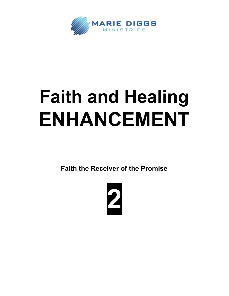

## **Faith and Healing ENHANCEMENT**

**Faith the Receiver of the Promise**